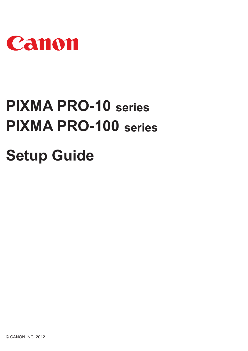

# **PIXMA PRO-100 series Setup Guide PIXMA PRO-10 series**

© CANON INC. 2012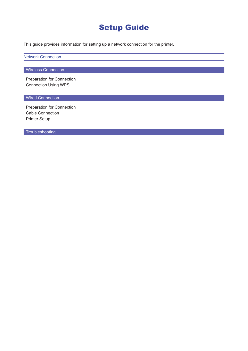# Setup Guide

This guide provides information for setting up a network connection for the printer.

Network Connection

#### **Wireless Connection**

Preparation for Connection Connection Using WPS

#### **Wired Connection**

Preparation for Connection Cable Connection Printer Setup

**Troubleshooting**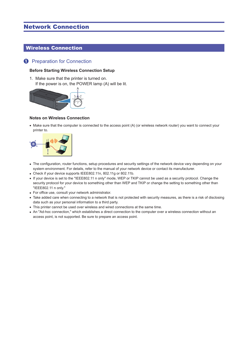# Network Connection

# Wireless Connection

#### **1** Preparation for Connection

#### **Before Starting Wireless Connection Setup**

1. Make sure that the printer is turned on. If the power is on, the POWER lamp (A) will be lit.



#### **Notes on Wireless Connection**

• Make sure that the computer is connected to the access point (A) (or wireless network router) you want to connect your printer to.



- The configuration, router functions, setup procedures and security settings of the network device vary depending on your system environment. For details, refer to the manual of your network device or contact its manufacturer.
- Check if your device supports IEEE802.11n, 802.11g or 802.11b.
- If your device is set to the "IEEE802.11 n only" mode, WEP or TKIP cannot be used as a security protocol. Change the security protocol for your device to something other than WEP and TKIP or change the setting to something other than "IEEE802.11 n only."
- For office use, consult your network administrator.
- Take added care when connecting to a network that is not protected with security measures, as there is a risk of disclosing data such as your personal information to a third party.
- This printer cannot be used over wireless and wired connections at the same time. •
- An "Ad-hoc connection," which establishes a direct connection to the computer over a wireless connection without an access point, is not supported. Be sure to prepare an access point.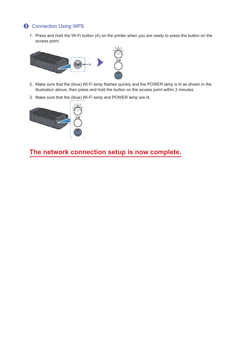# **2** Connection Using WPS

1. Press and hold the Wi-Fi button (A) on the printer when you are ready to press the button on the access point.



- 2. Make sure that the (blue) Wi-Fi lamp flashes quickly and the POWER lamp is lit as shown in the illustration above, then press and hold the button on the access point within 2 minutes.
- 3. Make sure that the (blue) Wi-Fi lamp and POWER lamp are lit.



**The network connection setup is now complete.**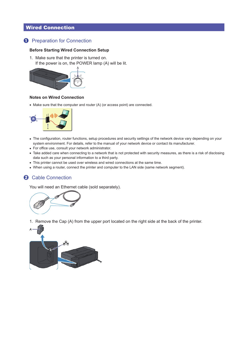# Wired Connection

# **Q** Preparation for Connection

#### **Before Starting Wired Connection Setup**

1. Make sure that the printer is turned on. If the power is on, the POWER lamp (A) will be lit.



#### **Notes on Wired Connection**

• Make sure that the computer and router (A) (or access point) are connected.



- The configuration, router functions, setup procedures and security settings of the network device vary depending on your system environment. For details, refer to the manual of your network device or contact its manufacturer.
- For office use, consult your network administrator.
- Take added care when connecting to a network that is not protected with security measures, as there is a risk of disclosing data such as your personal information to a third party.
- This printer cannot be used over wireless and wired connections at the same time. •
- When using a router, connect the printer and computer to the LAN side (same network segment).

## **2** Cable Connection

You will need an Ethernet cable (sold separately).



1. Remove the Cap (A) from the upper port located on the right side at the back of the printer.

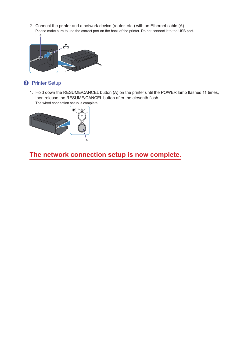2. Connect the printer and a network device (router, etc.) with an Ethernet cable (A). Please make sure to use the correct port on the back of the printer. Do not connect it to the USB port.



# **8** Printer Setup

1. Hold down the RESUME/CANCEL button (A) on the printer until the POWER lamp flashes 11 times, then release the RESUME/CANCEL button after the eleventh flash. The wired connection setup is complete.



**The network connection setup is now complete.**